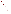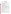# **Consumer Factsheet on: ASBESTOS**

#### [List of Contaminants](http://www.epa.gov/safewater/hfacts.html)

 As part of the Drinking Water and Health pages, this fact sheet is part of a larger publication: **National Primary Drinking Water Regulations** 

 States Environmental Protection Agency (EPA). This is a factsheet about a chemical that may be found in some public or private drinking water supplies. It may cause health problems if found in amounts greater than the health standard set by the United

#### **What is Asbestos and how is it used?**

 materials, brake pads, and cement pipe often used in distributing water to communities. Asbestos is a fibrous mineral occurring in natural deposits. Because asbestos fibers are resistant to heat and most chemicals, they have been mined for use in over 3,000 different products, including roofing

# **Why is Asbestos being regulated?**

 based solely on possible health risks and exposure, are called Maximum Contaminant Level Goals. In 1974, Congress passed the Safe Drinking Water Act. This law requires EPA to determine safe levels of chemicals in drinking water which do or may cause health problems. These non-enforceable levels,

 The MCLG for asbestos has been set at 7 million fibers per liter of water (M.L.) because EPA believes this level of protection would not cause any of the potential health problems described below.

 Based on this MCLG, EPA has set an enforceable standard called a Maximum Contaminant Level (MCL). MCLs are set as close to the MCLGs as possible, considering the ability of public water systems to detect and remove contaminants using suitable treatment technologies.

 should it occur in drinking water. The MCL has also been set at 7 M.L. because EPA believes, given present technology and resources, this is the lowest level to which water systems can reasonably be required to remove this contaminant

These drinking water standards and the regulations for ensuring these standards are met, are called National Primary Drinking Water Regulations. All public water supplies must abide by these regulations.

### **What are the health effects?**

Short-term: Asbestos is not known to cause any health problems when people are exposed to it at levels above the MCL for relatively short periods of time.

 above the MCL: lung disease; cancer. Long-term: Asbestos has the potential to cause the following effects from a lifetime exposure at levels

### **How much Asbestos is produced and released to the environment?**

Asbestos fibers may be released from natural sources such as erosion of asbestos-containing ores, but the primary source is through the wear or breakdown of asbestos-containing materials, particularly from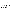the wastewaters of mining and other industries, and by the use of asbestos cement pipes in water supply systems.

 totaled nearly 9 million lbs. These releases were primarily from asbestos products industries which use From 1987 to 1993, according to the Toxics Release Inventory, asbestos releases to water and land asbestos in roofing materials, friction materials, and cement. The largest releases occurred in Pennsylvania and Louisiana.

### **What happens to Asbestos when it is released to the environment?**

 As a naturally occurring substance, asbestos can be present in surface and ground water. Small fibers may be carried long distances by water currents before settling. Asbestos fibers do not bind to soils, but nevertheless do NT migrate to ground water through soils. Asbestos is not expected to accumulate in aquatic life.

#### **How will Asbestos be detected in and removed from my drinking water?**

 The regulation for asbestos became effective in 1992. Between 1993 and 1995, EPA required your water supplier to collect water samples once and analyze them to find out if asbestos is present above 7 M.L.. If it is present above this level, the system must continue to monitor this contaminant once every 3 months.

If contaminant levels are found to be consistently above the MCL, your water supplier must take steps to reduce the amount of asbestos so that it is consistently below that level. The following treatment methods have been approved by EPA for removing asbestos: Coagulation/Filtration, Direct and Diatomite Filtration, Corrosion Control.

# **How will I know if Asbestos is in my drinking water?**

If the levels of asbestos exceed the MCL, the system must notify the public via newspapers, radio, TV and other means. Additional actions, such as providing alternative drinking water supplies, may be required to prevent serious risks to public health.

 States Environmental Protection Agency (EPA). This is a factsheet about a chemical that may be found in some public or private drinking water supplies. It may cause health problems if found in amounts greater than the health standard set by the United

### **Drinking Water Standards:**

MCLG: 7 M.L. (million fibers per liter)

MCL: 7 M.L.

### **Asbestos Releases to Water and Land, 1987 to 1993 (in pounds):**

|               | Water  | Land      |
|---------------|--------|-----------|
| <b>TOTALS</b> | 32,650 | 8,620,439 |
|               |        |           |

**Top Five States\***